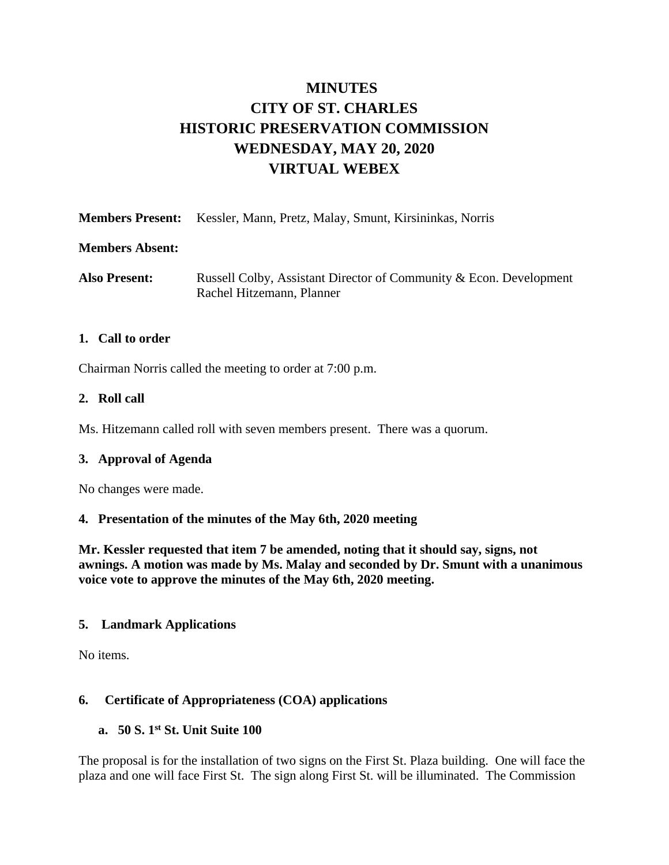# **MINUTES CITY OF ST. CHARLES HISTORIC PRESERVATION COMMISSION WEDNESDAY, MAY 20, 2020 VIRTUAL WEBEX**

|  | <b>Members Present:</b> Kessler, Mann, Pretz, Malay, Smunt, Kirsininkas, Norris |
|--|---------------------------------------------------------------------------------|
|  |                                                                                 |

#### **Members Absent:**

Also Present: Russell Colby, Assistant Director of Community & Econ. Development Rachel Hitzemann, Planner

#### **1. Call to order**

Chairman Norris called the meeting to order at 7:00 p.m.

#### **2. Roll call**

Ms. Hitzemann called roll with seven members present. There was a quorum.

#### **3. Approval of Agenda**

No changes were made.

#### **4. Presentation of the minutes of the May 6th, 2020 meeting**

**Mr. Kessler requested that item 7 be amended, noting that it should say, signs, not awnings. A motion was made by Ms. Malay and seconded by Dr. Smunt with a unanimous voice vote to approve the minutes of the May 6th, 2020 meeting.** 

# **5. Landmark Applications**

No items.

# **6. Certificate of Appropriateness (COA) applications**

# **a. 50 S. 1st St. Unit Suite 100**

The proposal is for the installation of two signs on the First St. Plaza building. One will face the plaza and one will face First St. The sign along First St. will be illuminated. The Commission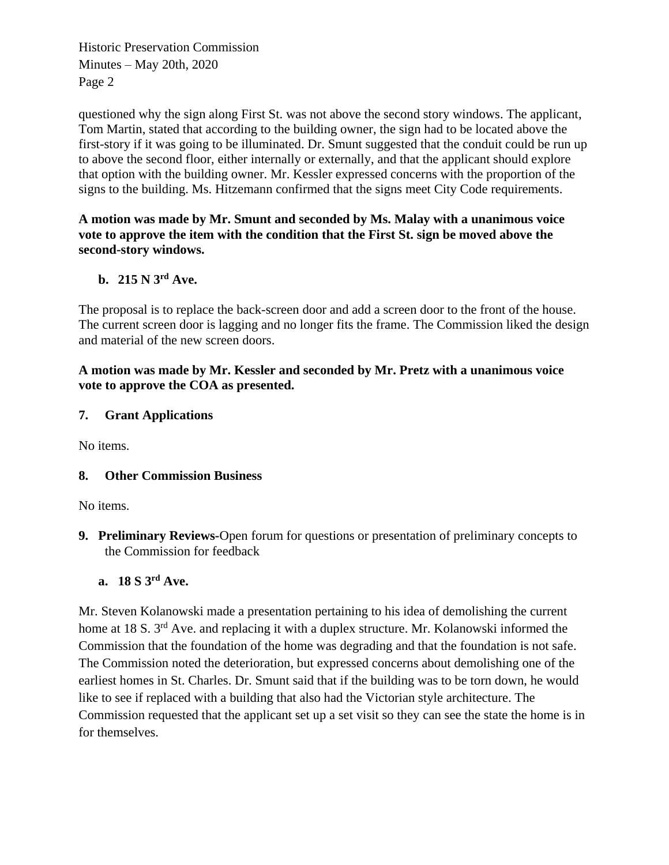Historic Preservation Commission Minutes – May 20th, 2020 Page 2

questioned why the sign along First St. was not above the second story windows. The applicant, Tom Martin, stated that according to the building owner, the sign had to be located above the first-story if it was going to be illuminated. Dr. Smunt suggested that the conduit could be run up to above the second floor, either internally or externally, and that the applicant should explore that option with the building owner. Mr. Kessler expressed concerns with the proportion of the signs to the building. Ms. Hitzemann confirmed that the signs meet City Code requirements.

**A motion was made by Mr. Smunt and seconded by Ms. Malay with a unanimous voice vote to approve the item with the condition that the First St. sign be moved above the second-story windows.** 

# **b. 215 N 3rd Ave.**

The proposal is to replace the back-screen door and add a screen door to the front of the house. The current screen door is lagging and no longer fits the frame. The Commission liked the design and material of the new screen doors.

# **A motion was made by Mr. Kessler and seconded by Mr. Pretz with a unanimous voice vote to approve the COA as presented.**

# **7. Grant Applications**

No items.

# **8. Other Commission Business**

No items.

**9. Preliminary Reviews-**Open forum for questions or presentation of preliminary concepts to the Commission for feedback

# **a. 18 S 3rd Ave.**

Mr. Steven Kolanowski made a presentation pertaining to his idea of demolishing the current home at 18 S. 3<sup>rd</sup> Ave. and replacing it with a duplex structure. Mr. Kolanowski informed the Commission that the foundation of the home was degrading and that the foundation is not safe. The Commission noted the deterioration, but expressed concerns about demolishing one of the earliest homes in St. Charles. Dr. Smunt said that if the building was to be torn down, he would like to see if replaced with a building that also had the Victorian style architecture. The Commission requested that the applicant set up a set visit so they can see the state the home is in for themselves.